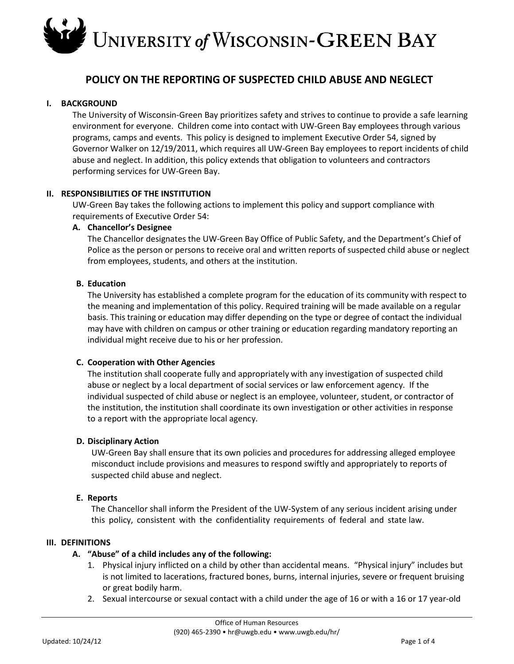### **POLICY ON THE REPORTING OF SUSPECTED CHILD ABUSE AND NEGLECT**

#### **I. BACKGROUND**

The University of Wisconsin-Green Bay prioritizes safety and strives to continue to provide a safe learning environment for everyone. Children come into contact with UW-Green Bay employees through various programs, camps and events. This policy is designed to implement Executive Order 54, signed by Governor Walker on 12/19/2011, which requires all UW-Green Bay employees to report incidents of child abuse and neglect. In addition, this policy extends that obligation to volunteers and contractors performing services for UW-Green Bay.

#### **II. RESPONSIBILITIES OF THE INSTITUTION**

UW-Green Bay takes the following actions to implement this policy and support compliance with requirements of Executive Order 54:

#### **A. Chancellor's Designee**

The Chancellor designates the UW-Green Bay Office of Public Safety, and the Department's Chief of Police as the person or persons to receive oral and written reports of suspected child abuse or neglect from employees, students, and others at the institution.

#### **B. Education**

The University has established a complete program for the education of its community with respect to the meaning and implementation of this policy. Required training will be made available on a regular basis. This training or education may differ depending on the type or degree of contact the individual may have with children on campus or other training or education regarding mandatory reporting an individual might receive due to his or her profession.

#### **C. Cooperation with Other Agencies**

The institution shall cooperate fully and appropriately with any investigation of suspected child abuse or neglect by a local department of social services or law enforcement agency. If the individual suspected of child abuse or neglect is an employee, volunteer, student, or contractor of the institution, the institution shall coordinate its own investigation or other activities in response to a report with the appropriate local agency.

#### **D. Disciplinary Action**

UW-Green Bay shall ensure that its own policies and procedures for addressing alleged employee misconduct include provisions and measures to respond swiftly and appropriately to reports of suspected child abuse and neglect.

#### **E. Reports**

The Chancellor shall inform the President of the UW-System of any serious incident arising under this policy, consistent with the confidentiality requirements of federal and state law.

#### **III. DEFINITIONS**

#### **A. "Abuse" of a child includes any of the following:**

- 1. Physical injury inflicted on a child by other than accidental means. "Physical injury" includes but is not limited to lacerations, fractured bones, burns, internal injuries, severe or frequent bruising or great bodily harm.
- 2. Sexual intercourse or sexual contact with a child under the age of 16 or with a 16 or 17 year-old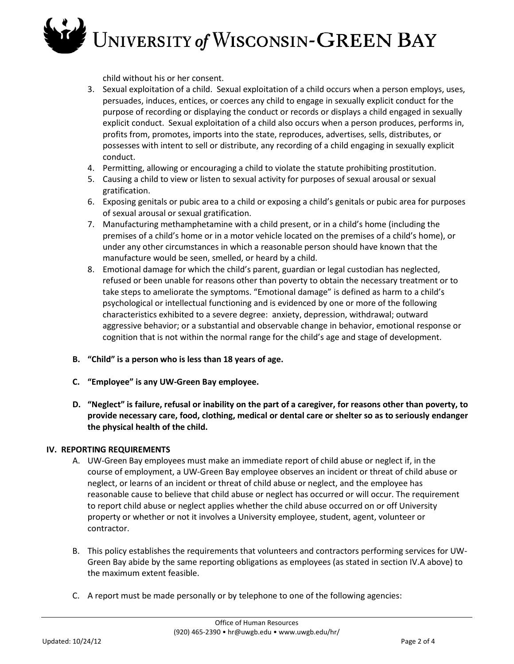child without his or her consent.

- 3. Sexual exploitation of a child. Sexual exploitation of a child occurs when a person employs, uses, persuades, induces, entices, or coerces any child to engage in sexually explicit conduct for the purpose of recording or displaying the conduct or records or displays a child engaged in sexually explicit conduct. Sexual exploitation of a child also occurs when a person produces, performs in, profits from, promotes, imports into the state, reproduces, advertises, sells, distributes, or possesses with intent to sell or distribute, any recording of a child engaging in sexually explicit conduct.
- 4. Permitting, allowing or encouraging a child to violate the statute prohibiting prostitution.
- 5. Causing a child to view or listen to sexual activity for purposes of sexual arousal or sexual gratification.
- 6. Exposing genitals or pubic area to a child or exposing a child's genitals or pubic area for purposes of sexual arousal or sexual gratification.
- 7. Manufacturing methamphetamine with a child present, or in a child's home (including the premises of a child's home or in a motor vehicle located on the premises of a child's home), or under any other circumstances in which a reasonable person should have known that the manufacture would be seen, smelled, or heard by a child.
- 8. Emotional damage for which the child's parent, guardian or legal custodian has neglected, refused or been unable for reasons other than poverty to obtain the necessary treatment or to take steps to ameliorate the symptoms. "Emotional damage" is defined as harm to a child's psychological or intellectual functioning and is evidenced by one or more of the following characteristics exhibited to a severe degree: anxiety, depression, withdrawal; outward aggressive behavior; or a substantial and observable change in behavior, emotional response or cognition that is not within the normal range for the child's age and stage of development.
- **B. "Child" is a person who is less than 18 years of age.**
- **C. "Employee" is any UW-Green Bay employee.**
- **D. "Neglect" is failure, refusal or inability on the part of a caregiver, for reasons other than poverty, to provide necessary care, food, clothing, medical or dental care or shelter so as to seriously endanger the physical health of the child.**

#### **IV. REPORTING REQUIREMENTS**

- A. UW-Green Bay employees must make an immediate report of child abuse or neglect if, in the course of employment, a UW-Green Bay employee observes an incident or threat of child abuse or neglect, or learns of an incident or threat of child abuse or neglect, and the employee has reasonable cause to believe that child abuse or neglect has occurred or will occur. The requirement to report child abuse or neglect applies whether the child abuse occurred on or off University property or whether or not it involves a University employee, student, agent, volunteer or contractor.
- B. This policy establishes the requirements that volunteers and contractors performing services for UW-Green Bay abide by the same reporting obligations as employees (as stated in section IV.A above) to the maximum extent feasible.
- C. A report must be made personally or by telephone to one of the following agencies: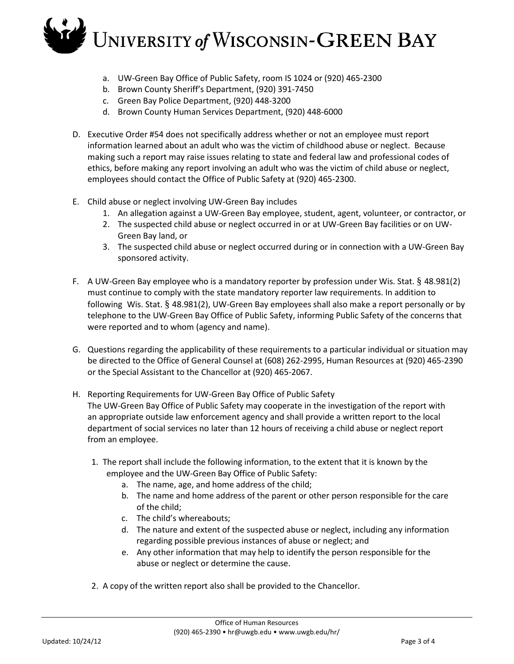- a. UW-Green Bay Office of Public Safety, room IS 1024 or (920) 465-2300
- b. Brown County Sheriff's Department, (920) 391-7450
- c. Green Bay Police Department, (920) 448-3200
- d. Brown County Human Services Department, (920) 448-6000
- D. Executive Order #54 does not specifically address whether or not an employee must report information learned about an adult who was the victim of childhood abuse or neglect. Because making such a report may raise issues relating to state and federal law and professional codes of ethics, before making any report involving an adult who was the victim of child abuse or neglect, employees should contact the Office of Public Safety at (920) 465-2300.
- E. Child abuse or neglect involving UW-Green Bay includes
	- 1. An allegation against a UW-Green Bay employee, student, agent, volunteer, or contractor, or
	- 2. The suspected child abuse or neglect occurred in or at UW-Green Bay facilities or on UW-Green Bay land, or
	- 3. The suspected child abuse or neglect occurred during or in connection with a UW-Green Bay sponsored activity.
- F. A UW-Green Bay employee who is a mandatory reporter by profession under Wis. Stat. § 48.981(2) must continue to comply with the state mandatory reporter law requirements. In addition to following Wis. Stat. § 48.981(2), UW-Green Bay employees shall also make a report personally or by telephone to the UW-Green Bay Office of Public Safety, informing Public Safety of the concerns that were reported and to whom (agency and name).
- G. Questions regarding the applicability of these requirements to a particular individual or situation may be directed to the Office of General Counsel at (608) 262-2995, Human Resources at (920) 465-2390 or the Special Assistant to the Chancellor at (920) 465-2067.
- H. Reporting Requirements for UW-Green Bay Office of Public Safety The UW-Green Bay Office of Public Safety may cooperate in the investigation of the report with an appropriate outside law enforcement agency and shall provide a written report to the local department of social services no later than 12 hours of receiving a child abuse or neglect report from an employee.
	- 1. The report shall include the following information, to the extent that it is known by the employee and the UW-Green Bay Office of Public Safety:
		- a. The name, age, and home address of the child;
		- b. The name and home address of the parent or other person responsible for the care of the child;
		- c. The child's whereabouts;
		- d. The nature and extent of the suspected abuse or neglect, including any information regarding possible previous instances of abuse or neglect; and
		- e. Any other information that may help to identify the person responsible for the abuse or neglect or determine the cause.
	- 2. A copy of the written report also shall be provided to the Chancellor.